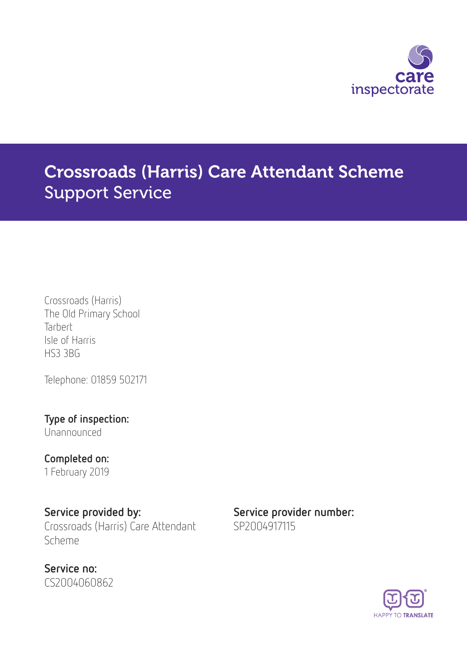

# Crossroads (Harris) Care Attendant Scheme Support Service

Crossroads (Harris) The Old Primary School **Tarbert** Isle of Harris HS3 3BG

Telephone: 01859 502171

Type of inspection: Unannounced

Completed on: 1 February 2019

Service provided by: Service provider number: Crossroads (Harris) Care Attendant Scheme

Service no: CS2004060862 SP2004917115

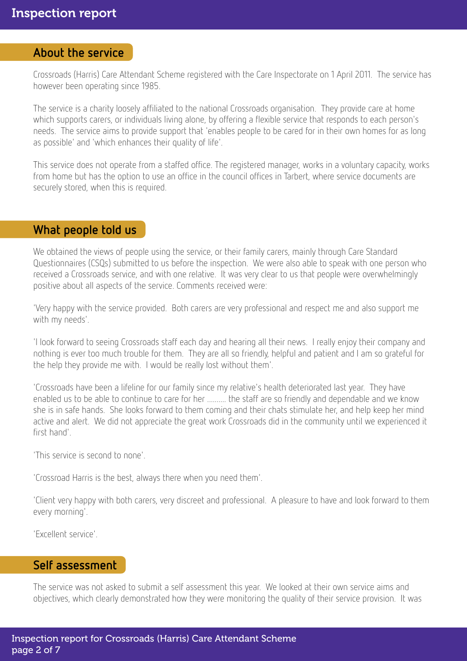### About the service

Crossroads (Harris) Care Attendant Scheme registered with the Care Inspectorate on 1 April 2011. The service has however been operating since 1985.

The service is a charity loosely affiliated to the national Crossroads organisation. They provide care at home which supports carers, or individuals living alone, by offering a flexible service that responds to each person's needs. The service aims to provide support that 'enables people to be cared for in their own homes for as long as possible' and 'which enhances their quality of life'.

This service does not operate from a staffed office. The registered manager, works in a voluntary capacity, works from home but has the option to use an office in the council offices in Tarbert, where service documents are securely stored, when this is required.

#### What people told us

We obtained the views of people using the service, or their family carers, mainly through Care Standard Questionnaires (CSQs) submitted to us before the inspection. We were also able to speak with one person who received a Crossroads service, and with one relative. It was very clear to us that people were overwhelmingly positive about all aspects of the service. Comments received were:

'Very happy with the service provided. Both carers are very professional and respect me and also support me with my needs'.

'I look forward to seeing Crossroads staff each day and hearing all their news. I really enjoy their company and nothing is ever too much trouble for them. They are all so friendly, helpful and patient and I am so grateful for the help they provide me with. I would be really lost without them'.

'Crossroads have been a lifeline for our family since my relative's health deteriorated last year. They have enabled us to be able to continue to care for her .......... the staff are so friendly and dependable and we know she is in safe hands. She looks forward to them coming and their chats stimulate her, and help keep her mind active and alert. We did not appreciate the great work Crossroads did in the community until we experienced it first hand'.

'This service is second to none'.

'Crossroad Harris is the best, always there when you need them'.

'Client very happy with both carers, very discreet and professional. A pleasure to have and look forward to them every morning'.

'Excellent service'.

#### Self assessment

The service was not asked to submit a self assessment this year. We looked at their own service aims and objectives, which clearly demonstrated how they were monitoring the quality of their service provision. It was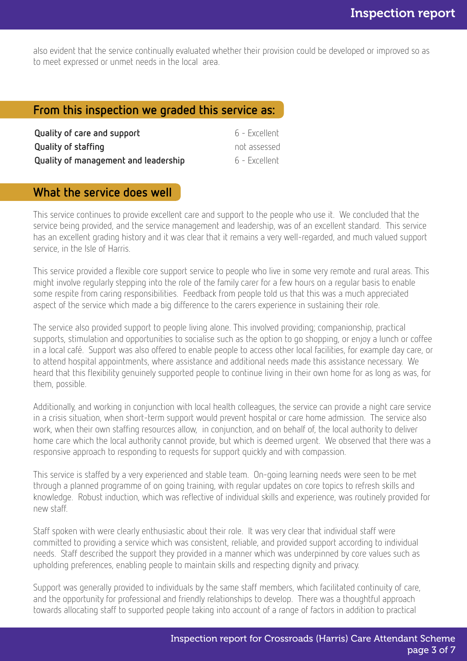also evident that the service continually evaluated whether their provision could be developed or improved so as to meet expressed or unmet needs in the local area.

## From this inspection we graded this service as:

| Quality of care and support          | 6 - Excellent |
|--------------------------------------|---------------|
| <b>Quality of staffing</b>           | not assessed  |
| Quality of management and leadership | 6 - Excellent |

# What the service does well

This service continues to provide excellent care and support to the people who use it. We concluded that the service being provided, and the service management and leadership, was of an excellent standard. This service has an excellent grading history and it was clear that it remains a very well-regarded, and much valued support service, in the Isle of Harris.

This service provided a flexible core support service to people who live in some very remote and rural areas. This might involve regularly stepping into the role of the family carer for a few hours on a regular basis to enable some respite from caring responsibilities. Feedback from people told us that this was a much appreciated aspect of the service which made a big difference to the carers experience in sustaining their role.

The service also provided support to people living alone. This involved providing; companionship, practical supports, stimulation and opportunities to socialise such as the option to go shopping, or enjoy a lunch or coffee in a local café. Support was also offered to enable people to access other local facilities, for example day care, or to attend hospital appointments, where assistance and additional needs made this assistance necessary. We heard that this flexibility genuinely supported people to continue living in their own home for as long as was, for them, possible.

Additionally, and working in conjunction with local health colleagues, the service can provide a night care service in a crisis situation, when short-term support would prevent hospital or care home admission. The service also work, when their own staffing resources allow, in conjunction, and on behalf of, the local authority to deliver home care which the local authority cannot provide, but which is deemed urgent. We observed that there was a responsive approach to responding to requests for support quickly and with compassion.

This service is staffed by a very experienced and stable team. On-going learning needs were seen to be met through a planned programme of on going training, with regular updates on core topics to refresh skills and knowledge. Robust induction, which was reflective of individual skills and experience, was routinely provided for new staff.

Staff spoken with were clearly enthusiastic about their role. It was very clear that individual staff were committed to providing a service which was consistent, reliable, and provided support according to individual needs. Staff described the support they provided in a manner which was underpinned by core values such as upholding preferences, enabling people to maintain skills and respecting dignity and privacy.

Support was generally provided to individuals by the same staff members, which facilitated continuity of care, and the opportunity for professional and friendly relationships to develop. There was a thoughtful approach towards allocating staff to supported people taking into account of a range of factors in addition to practical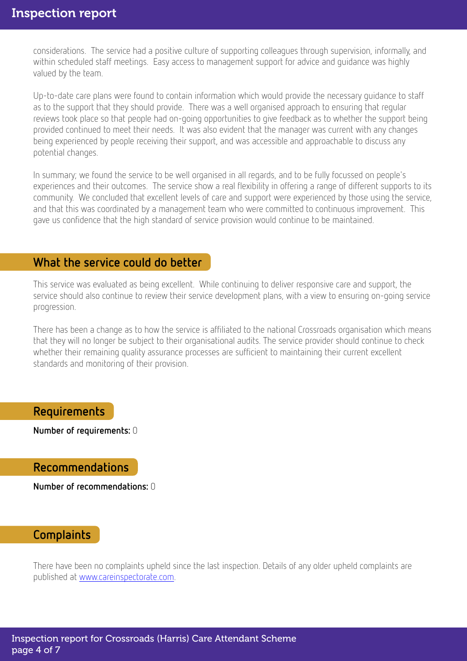considerations. The service had a positive culture of supporting colleagues through supervision, informally, and within scheduled staff meetings. Easy access to management support for advice and guidance was highly valued by the team.

Up-to-date care plans were found to contain information which would provide the necessary guidance to staff as to the support that they should provide. There was a well organised approach to ensuring that regular reviews took place so that people had on-going opportunities to give feedback as to whether the support being provided continued to meet their needs. It was also evident that the manager was current with any changes being experienced by people receiving their support, and was accessible and approachable to discuss any potential changes.

In summary; we found the service to be well organised in all regards, and to be fully focussed on people's experiences and their outcomes. The service show a real flexibility in offering a range of different supports to its community. We concluded that excellent levels of care and support were experienced by those using the service, and that this was coordinated by a management team who were committed to continuous improvement. This gave us confidence that the high standard of service provision would continue to be maintained.

#### What the service could do better

This service was evaluated as being excellent. While continuing to deliver responsive care and support, the service should also continue to review their service development plans, with a view to ensuring on-going service progression.

There has been a change as to how the service is affiliated to the national Crossroads organisation which means that they will no longer be subject to their organisational audits. The service provider should continue to check whether their remaining quality assurance processes are sufficient to maintaining their current excellent standards and monitoring of their provision.

## Requirements

Number of requirements: 0

#### Recommendations

Number of recommendations: 0

#### **Complaints**

There have been no complaints upheld since the last inspection. Details of any older upheld complaints are published at [www.careinspectorate.com.](http://www.careinspectorate.com)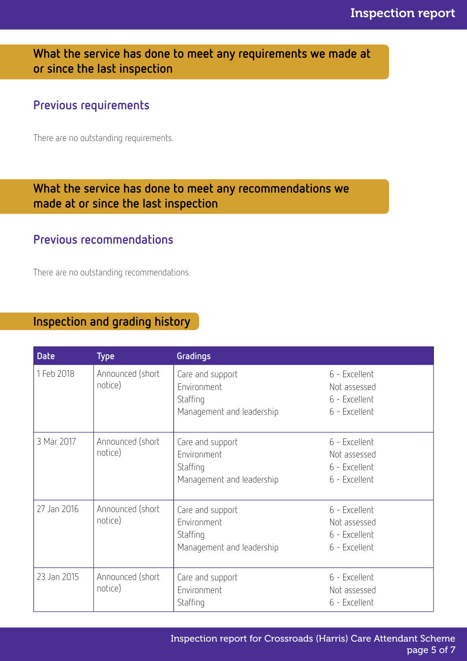What the service has done to meet any requirements we made at or since the last inspection

## Previous requirements

There are no outstanding requirements.

## What the service has done to meet any recommendations we made at or since the last inspection

## Previous recommendations

There are no outstanding recommendations.

## Inspection and grading history

| <b>Date</b> | <b>Type</b>                 | Gradings                                                                 |                                                                 |
|-------------|-----------------------------|--------------------------------------------------------------------------|-----------------------------------------------------------------|
| 1 Feb 2018  | Announced (short<br>notice) | Care and support<br>Environment<br>Staffing<br>Management and leadership | 6 - Excellent<br>Not assessed<br>6 - Excellent<br>6 - Excellent |
| 3 Mar 2017  | Announced (short<br>notice) | Care and support<br>Environment<br>Staffing<br>Management and leadership | 6 - Excellent<br>Not assessed<br>6 - Excellent<br>6 - Excellent |
| 27 Jan 2016 | Announced (short<br>notice) | Care and support<br>Environment<br>Staffing<br>Management and leadership | 6 - Excellent<br>Not assessed<br>6 - Excellent<br>6 - Excellent |
| 23 Jan 2015 | Announced (short<br>notice) | Care and support<br>Environment<br>Staffing                              | 6 - Excellent<br>Not assessed<br>6 - Excellent                  |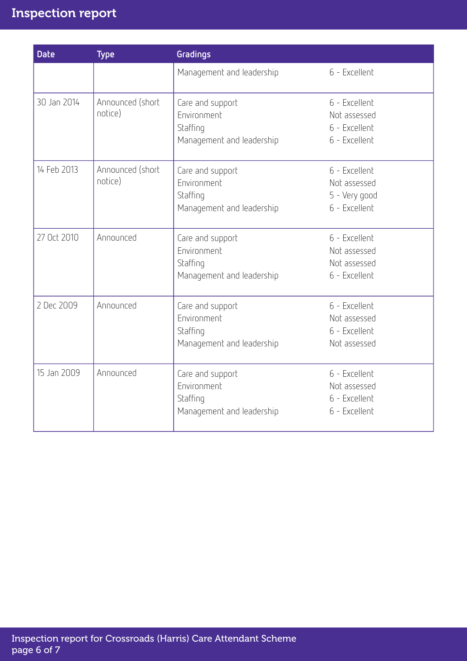# Inspection report

| <b>Date</b> | <b>Type</b>                 | Gradings                                                                 |                                                                 |
|-------------|-----------------------------|--------------------------------------------------------------------------|-----------------------------------------------------------------|
|             |                             | Management and leadership                                                | 6 - Excellent                                                   |
| 30 Jan 2014 | Announced (short<br>notice) | Care and support<br>Environment<br>Staffing<br>Management and leadership | 6 - Excellent<br>Not assessed<br>6 - Excellent<br>6 - Excellent |
| 14 Feb 2013 | Announced (short<br>notice) | Care and support<br>Environment<br>Staffing<br>Management and leadership | 6 - Excellent<br>Not assessed<br>5 - Very good<br>6 - Excellent |
| 27 Oct 2010 | Announced                   | Care and support<br>Environment<br>Staffing<br>Management and leadership | 6 - Excellent<br>Not assessed<br>Not assessed<br>6 - Excellent  |
| 2 Dec 2009  | Announced                   | Care and support<br>Environment<br>Staffing<br>Management and leadership | 6 - Excellent<br>Not assessed<br>6 - Excellent<br>Not assessed  |
| 15 Jan 2009 | Announced                   | Care and support<br>Environment<br>Staffing<br>Management and leadership | 6 - Excellent<br>Not assessed<br>6 - Excellent<br>6 - Excellent |